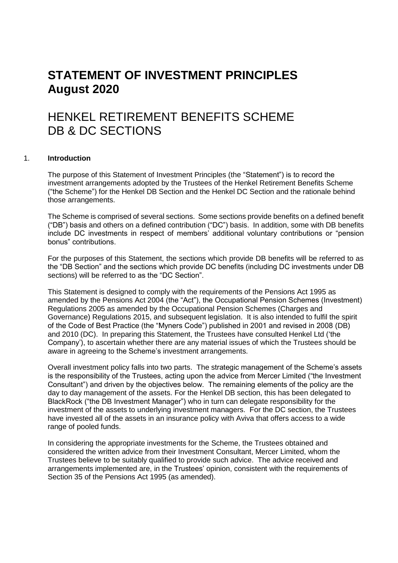# **STATEMENT OF INVESTMENT PRINCIPLES August 2020**

# HENKEL RETIREMENT BENEFITS SCHEME DB & DC SECTIONS

# 1. **Introduction**

The purpose of this Statement of Investment Principles (the "Statement") is to record the investment arrangements adopted by the Trustees of the Henkel Retirement Benefits Scheme ("the Scheme") for the Henkel DB Section and the Henkel DC Section and the rationale behind those arrangements.

The Scheme is comprised of several sections. Some sections provide benefits on a defined benefit ("DB") basis and others on a defined contribution ("DC") basis. In addition, some with DB benefits include DC investments in respect of members' additional voluntary contributions or "pension bonus" contributions.

For the purposes of this Statement, the sections which provide DB benefits will be referred to as the "DB Section" and the sections which provide DC benefits (including DC investments under DB sections) will be referred to as the "DC Section".

This Statement is designed to comply with the requirements of the Pensions Act 1995 as amended by the Pensions Act 2004 (the "Act"), the Occupational Pension Schemes (Investment) Regulations 2005 as amended by the Occupational Pension Schemes (Charges and Governance) Regulations 2015, and subsequent legislation. It is also intended to fulfil the spirit of the Code of Best Practice (the "Myners Code") published in 2001 and revised in 2008 (DB) and 2010 (DC). In preparing this Statement, the Trustees have consulted Henkel Ltd ('the Company'), to ascertain whether there are any material issues of which the Trustees should be aware in agreeing to the Scheme's investment arrangements.

Overall investment policy falls into two parts. The strategic management of the Scheme's assets is the responsibility of the Trustees, acting upon the advice from Mercer Limited ("the Investment Consultant") and driven by the objectives below. The remaining elements of the policy are the day to day management of the assets. For the Henkel DB section, this has been delegated to BlackRock ("the DB Investment Manager") who in turn can delegate responsibility for the investment of the assets to underlying investment managers. For the DC section, the Trustees have invested all of the assets in an insurance policy with Aviva that offers access to a wide range of pooled funds.

In considering the appropriate investments for the Scheme, the Trustees obtained and considered the written advice from their Investment Consultant, Mercer Limited, whom the Trustees believe to be suitably qualified to provide such advice. The advice received and arrangements implemented are, in the Trustees' opinion, consistent with the requirements of Section 35 of the Pensions Act 1995 (as amended).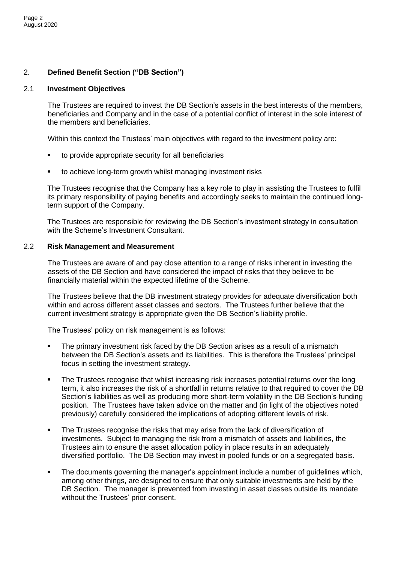# 2. **Defined Benefit Section ("DB Section")**

# 2.1 **Investment Objectives**

The Trustees are required to invest the DB Section's assets in the best interests of the members, beneficiaries and Company and in the case of a potential conflict of interest in the sole interest of the members and beneficiaries.

Within this context the Trustees' main objectives with regard to the investment policy are:

- to provide appropriate security for all beneficiaries
- to achieve long-term growth whilst managing investment risks

The Trustees recognise that the Company has a key role to play in assisting the Trustees to fulfil its primary responsibility of paying benefits and accordingly seeks to maintain the continued longterm support of the Company.

The Trustees are responsible for reviewing the DB Section's investment strategy in consultation with the Scheme's Investment Consultant.

#### 2.2 **Risk Management and Measurement**

The Trustees are aware of and pay close attention to a range of risks inherent in investing the assets of the DB Section and have considered the impact of risks that they believe to be financially material within the expected lifetime of the Scheme.

The Trustees believe that the DB investment strategy provides for adequate diversification both within and across different asset classes and sectors. The Trustees further believe that the current investment strategy is appropriate given the DB Section's liability profile.

The Trustees' policy on risk management is as follows:

- The primary investment risk faced by the DB Section arises as a result of a mismatch between the DB Section's assets and its liabilities. This is therefore the Trustees' principal focus in setting the investment strategy.
- The Trustees recognise that whilst increasing risk increases potential returns over the long term, it also increases the risk of a shortfall in returns relative to that required to cover the DB Section's liabilities as well as producing more short-term volatility in the DB Section's funding position. The Trustees have taken advice on the matter and (in light of the objectives noted previously) carefully considered the implications of adopting different levels of risk.
- The Trustees recognise the risks that may arise from the lack of diversification of investments. Subject to managing the risk from a mismatch of assets and liabilities, the Trustees aim to ensure the asset allocation policy in place results in an adequately diversified portfolio. The DB Section may invest in pooled funds or on a segregated basis.
- The documents governing the manager's appointment include a number of guidelines which, among other things, are designed to ensure that only suitable investments are held by the DB Section. The manager is prevented from investing in asset classes outside its mandate without the Trustees' prior consent.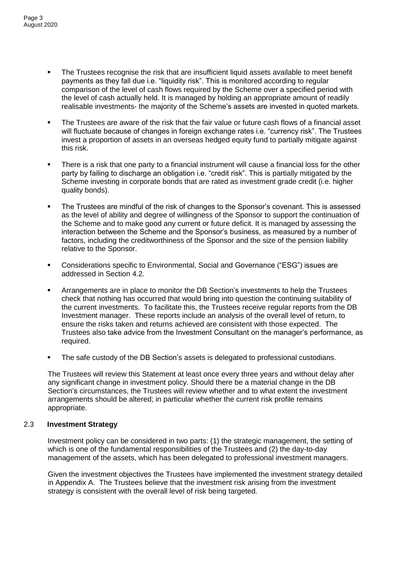- The Trustees recognise the risk that are insufficient liquid assets available to meet benefit payments as they fall due i.e. "liquidity risk". This is monitored according to regular comparison of the level of cash flows required by the Scheme over a specified period with the level of cash actually held. It is managed by holding an appropriate amount of readily realisable investments- the majority of the Scheme's assets are invested in quoted markets.
- The Trustees are aware of the risk that the fair value or future cash flows of a financial asset will fluctuate because of changes in foreign exchange rates i.e. "currency risk". The Trustees invest a proportion of assets in an overseas hedged equity fund to partially mitigate against this risk.
- There is a risk that one party to a financial instrument will cause a financial loss for the other party by failing to discharge an obligation i.e. "credit risk". This is partially mitigated by the Scheme investing in corporate bonds that are rated as investment grade credit (i.e. higher quality bonds).
- The Trustees are mindful of the risk of changes to the Sponsor's covenant. This is assessed as the level of ability and degree of willingness of the Sponsor to support the continuation of the Scheme and to make good any current or future deficit. It is managed by assessing the interaction between the Scheme and the Sponsor's business, as measured by a number of factors, including the creditworthiness of the Sponsor and the size of the pension liability relative to the Sponsor.
- Considerations specific to Environmental, Social and Governance ("ESG") issues are addressed in Section 4.2.
- Arrangements are in place to monitor the DB Section's investments to help the Trustees check that nothing has occurred that would bring into question the continuing suitability of the current investments. To facilitate this, the Trustees receive regular reports from the DB Investment manager. These reports include an analysis of the overall level of return, to ensure the risks taken and returns achieved are consistent with those expected. The Trustees also take advice from the Investment Consultant on the manager's performance, as required.
- The safe custody of the DB Section's assets is delegated to professional custodians.

The Trustees will review this Statement at least once every three years and without delay after any significant change in investment policy. Should there be a material change in the DB Section's circumstances, the Trustees will review whether and to what extent the investment arrangements should be altered; in particular whether the current risk profile remains appropriate.

# 2.3 **Investment Strategy**

Investment policy can be considered in two parts: (1) the strategic management, the setting of which is one of the fundamental responsibilities of the Trustees and (2) the day-to-day management of the assets, which has been delegated to professional investment managers.

Given the investment objectives the Trustees have implemented the investment strategy detailed in Appendix A. The Trustees believe that the investment risk arising from the investment strategy is consistent with the overall level of risk being targeted.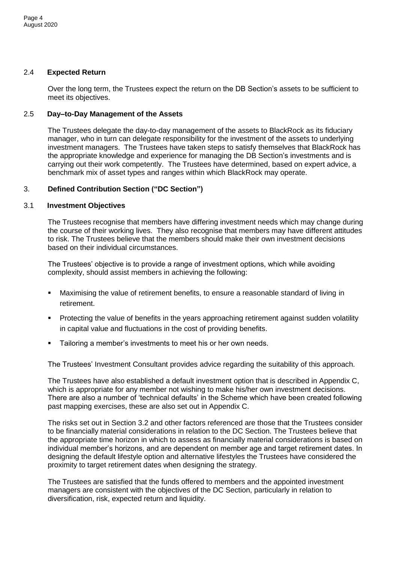# 2.4 **Expected Return**

Over the long term, the Trustees expect the return on the DB Section's assets to be sufficient to meet its objectives.

# 2.5 **Day–to-Day Management of the Assets**

The Trustees delegate the day-to-day management of the assets to BlackRock as its fiduciary manager, who in turn can delegate responsibility for the investment of the assets to underlying investment managers. The Trustees have taken steps to satisfy themselves that BlackRock has the appropriate knowledge and experience for managing the DB Section's investments and is carrying out their work competently. The Trustees have determined, based on expert advice, a benchmark mix of asset types and ranges within which BlackRock may operate.

# 3. **Defined Contribution Section ("DC Section")**

# 3.1 **Investment Objectives**

The Trustees recognise that members have differing investment needs which may change during the course of their working lives. They also recognise that members may have different attitudes to risk. The Trustees believe that the members should make their own investment decisions based on their individual circumstances.

The Trustees' objective is to provide a range of investment options, which while avoiding complexity, should assist members in achieving the following:

- Maximising the value of retirement benefits, to ensure a reasonable standard of living in retirement.
- Protecting the value of benefits in the years approaching retirement against sudden volatility in capital value and fluctuations in the cost of providing benefits.
- Tailoring a member's investments to meet his or her own needs.

The Trustees' Investment Consultant provides advice regarding the suitability of this approach.

The Trustees have also established a default investment option that is described in Appendix C, which is appropriate for any member not wishing to make his/her own investment decisions. There are also a number of 'technical defaults' in the Scheme which have been created following past mapping exercises, these are also set out in Appendix C.

The risks set out in Section 3.2 and other factors referenced are those that the Trustees consider to be financially material considerations in relation to the DC Section. The Trustees believe that the appropriate time horizon in which to assess as financially material considerations is based on individual member's horizons, and are dependent on member age and target retirement dates. In designing the default lifestyle option and alternative lifestyles the Trustees have considered the proximity to target retirement dates when designing the strategy.

The Trustees are satisfied that the funds offered to members and the appointed investment managers are consistent with the objectives of the DC Section, particularly in relation to diversification, risk, expected return and liquidity.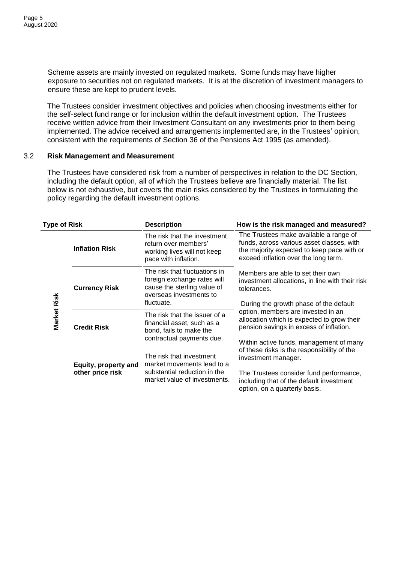Scheme assets are mainly invested on regulated markets. Some funds may have higher exposure to securities not on regulated markets. It is at the discretion of investment managers to ensure these are kept to prudent levels.

The Trustees consider investment objectives and policies when choosing investments either for the self-select fund range or for inclusion within the default investment option. The Trustees receive written advice from their Investment Consultant on any investments prior to them being implemented. The advice received and arrangements implemented are, in the Trustees' opinion, consistent with the requirements of Section 36 of the Pensions Act 1995 (as amended).

#### 3.2 **Risk Management and Measurement**

The Trustees have considered risk from a number of perspectives in relation to the DC Section, including the default option, all of which the Trustees believe are financially material. The list below is not exhaustive, but covers the main risks considered by the Trustees in formulating the policy regarding the default investment options.

| <b>Type of Risk</b> |                       | <b>Description</b>                                                                                                                | How is the risk managed and measured?                                                                                                                                                                            |  |  |  |
|---------------------|-----------------------|-----------------------------------------------------------------------------------------------------------------------------------|------------------------------------------------------------------------------------------------------------------------------------------------------------------------------------------------------------------|--|--|--|
|                     | <b>Inflation Risk</b> | The risk that the investment<br>return over members'<br>working lives will not keep<br>pace with inflation.                       | The Trustees make available a range of<br>funds, across various asset classes, with<br>the majority expected to keep pace with or<br>exceed inflation over the long term.                                        |  |  |  |
| Market Risk         | <b>Currency Risk</b>  | The risk that fluctuations in<br>foreign exchange rates will<br>cause the sterling value of<br>overseas investments to            | Members are able to set their own<br>investment allocations, in line with their risk<br>tolerances.                                                                                                              |  |  |  |
|                     | <b>Credit Risk</b>    | fluctuate.<br>The risk that the issuer of a<br>financial asset, such as a<br>bond, fails to make the<br>contractual payments due. | During the growth phase of the default<br>option, members are invested in an<br>allocation which is expected to grow their<br>pension savings in excess of inflation.<br>Within active funds, management of many |  |  |  |
|                     | Equity, property and  | The risk that investment<br>market movements lead to a                                                                            | of these risks is the responsibility of the<br>investment manager.                                                                                                                                               |  |  |  |
|                     | other price risk      | substantial reduction in the<br>market value of investments.                                                                      | The Trustees consider fund performance,<br>including that of the default investment<br>option, on a quarterly basis.                                                                                             |  |  |  |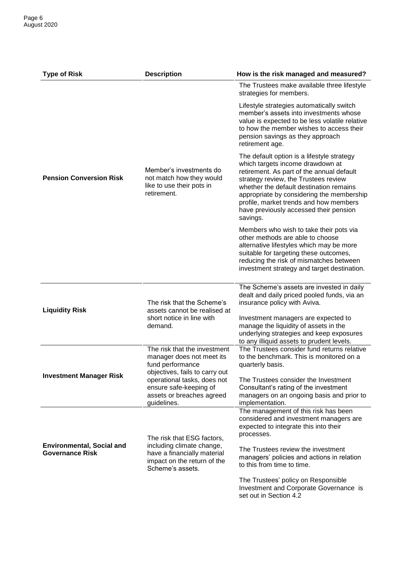| <b>Type of Risk</b>                                        | <b>Description</b>                                                                                              | How is the risk managed and measured?                                                                                                                                                                                                                                                                                                                       |  |  |  |
|------------------------------------------------------------|-----------------------------------------------------------------------------------------------------------------|-------------------------------------------------------------------------------------------------------------------------------------------------------------------------------------------------------------------------------------------------------------------------------------------------------------------------------------------------------------|--|--|--|
|                                                            |                                                                                                                 | The Trustees make available three lifestyle<br>strategies for members.                                                                                                                                                                                                                                                                                      |  |  |  |
|                                                            |                                                                                                                 | Lifestyle strategies automatically switch<br>member's assets into investments whose<br>value is expected to be less volatile relative<br>to how the member wishes to access their<br>pension savings as they approach<br>retirement age.                                                                                                                    |  |  |  |
| <b>Pension Conversion Risk</b>                             | Member's investments do<br>not match how they would<br>like to use their pots in<br>retirement.                 | The default option is a lifestyle strategy<br>which targets income drawdown at<br>retirement. As part of the annual default<br>strategy review, the Trustees review<br>whether the default destination remains<br>appropriate by considering the membership<br>profile, market trends and how members<br>have previously accessed their pension<br>savings. |  |  |  |
|                                                            |                                                                                                                 | Members who wish to take their pots via<br>other methods are able to choose<br>alternative lifestyles which may be more<br>suitable for targeting these outcomes,<br>reducing the risk of mismatches between<br>investment strategy and target destination.                                                                                                 |  |  |  |
| <b>Liquidity Risk</b>                                      | The risk that the Scheme's<br>assets cannot be realised at                                                      | The Scheme's assets are invested in daily<br>dealt and daily priced pooled funds, via an<br>insurance policy with Aviva.                                                                                                                                                                                                                                    |  |  |  |
|                                                            | short notice in line with<br>demand.                                                                            | Investment managers are expected to<br>manage the liquidity of assets in the<br>underlying strategies and keep exposures<br>to any illiquid assets to prudent levels.                                                                                                                                                                                       |  |  |  |
|                                                            | The risk that the investment<br>manager does not meet its<br>fund performance<br>objectives, fails to carry out | The Trustees consider fund returns relative<br>to the benchmark. This is monitored on a<br>quarterly basis.                                                                                                                                                                                                                                                 |  |  |  |
| <b>Investment Manager Risk</b>                             | operational tasks, does not<br>ensure safe-keeping of<br>assets or breaches agreed<br>guidelines.               | The Trustees consider the Investment<br>Consultant's rating of the investment<br>managers on an ongoing basis and prior to<br>implementation.                                                                                                                                                                                                               |  |  |  |
|                                                            | The risk that ESG factors,                                                                                      | The management of this risk has been<br>considered and investment managers are<br>expected to integrate this into their<br>processes.                                                                                                                                                                                                                       |  |  |  |
| <b>Environmental, Social and</b><br><b>Governance Risk</b> | including climate change,<br>have a financially material<br>impact on the return of the<br>Scheme's assets.     | The Trustees review the investment<br>managers' policies and actions in relation<br>to this from time to time.                                                                                                                                                                                                                                              |  |  |  |
|                                                            |                                                                                                                 | The Trustees' policy on Responsible<br>Investment and Corporate Governance is<br>set out in Section 4.2                                                                                                                                                                                                                                                     |  |  |  |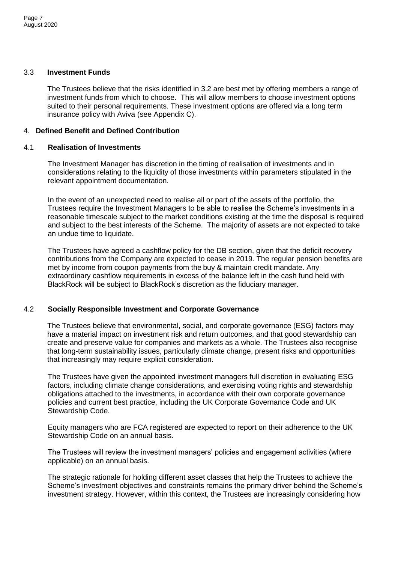# 3.3 **Investment Funds**

The Trustees believe that the risks identified in 3.2 are best met by offering members a range of investment funds from which to choose. This will allow members to choose investment options suited to their personal requirements. These investment options are offered via a long term insurance policy with Aviva (see Appendix C).

# 4. **Defined Benefit and Defined Contribution**

# 4.1 **Realisation of Investments**

The Investment Manager has discretion in the timing of realisation of investments and in considerations relating to the liquidity of those investments within parameters stipulated in the relevant appointment documentation.

In the event of an unexpected need to realise all or part of the assets of the portfolio, the Trustees require the Investment Managers to be able to realise the Scheme's investments in a reasonable timescale subject to the market conditions existing at the time the disposal is required and subject to the best interests of the Scheme. The majority of assets are not expected to take an undue time to liquidate.

The Trustees have agreed a cashflow policy for the DB section, given that the deficit recovery contributions from the Company are expected to cease in 2019. The regular pension benefits are met by income from coupon payments from the buy & maintain credit mandate. Any extraordinary cashflow requirements in excess of the balance left in the cash fund held with BlackRock will be subject to BlackRock's discretion as the fiduciary manager.

# 4.2 **Socially Responsible Investment and Corporate Governance**

The Trustees believe that environmental, social, and corporate governance (ESG) factors may have a material impact on investment risk and return outcomes, and that good stewardship can create and preserve value for companies and markets as a whole. The Trustees also recognise that long-term sustainability issues, particularly climate change, present risks and opportunities that increasingly may require explicit consideration.

The Trustees have given the appointed investment managers full discretion in evaluating ESG factors, including climate change considerations, and exercising voting rights and stewardship obligations attached to the investments, in accordance with their own corporate governance policies and current best practice, including the UK Corporate Governance Code and UK Stewardship Code.

Equity managers who are FCA registered are expected to report on their adherence to the UK Stewardship Code on an annual basis.

The Trustees will review the investment managers' policies and engagement activities (where applicable) on an annual basis.

The strategic rationale for holding different asset classes that help the Trustees to achieve the Scheme's investment objectives and constraints remains the primary driver behind the Scheme's investment strategy. However, within this context, the Trustees are increasingly considering how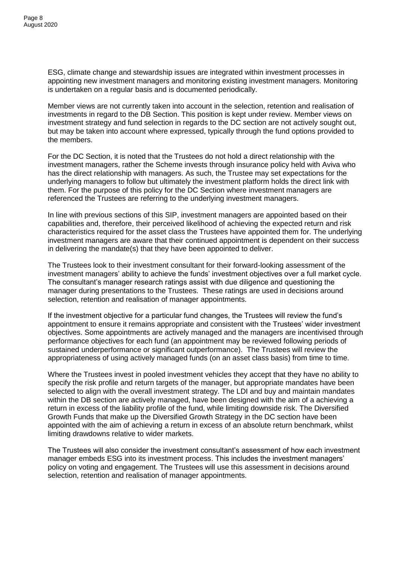ESG, climate change and stewardship issues are integrated within investment processes in appointing new investment managers and monitoring existing investment managers. Monitoring is undertaken on a regular basis and is documented periodically.

Member views are not currently taken into account in the selection, retention and realisation of investments in regard to the DB Section. This position is kept under review. Member views on investment strategy and fund selection in regards to the DC section are not actively sought out, but may be taken into account where expressed, typically through the fund options provided to the members.

For the DC Section, it is noted that the Trustees do not hold a direct relationship with the investment managers, rather the Scheme invests through insurance policy held with Aviva who has the direct relationship with managers. As such, the Trustee may set expectations for the underlying managers to follow but ultimately the investment platform holds the direct link with them. For the purpose of this policy for the DC Section where investment managers are referenced the Trustees are referring to the underlying investment managers.

In line with previous sections of this SIP, investment managers are appointed based on their capabilities and, therefore, their perceived likelihood of achieving the expected return and risk characteristics required for the asset class the Trustees have appointed them for. The underlying investment managers are aware that their continued appointment is dependent on their success in delivering the mandate(s) that they have been appointed to deliver.

The Trustees look to their investment consultant for their forward-looking assessment of the investment managers' ability to achieve the funds' investment objectives over a full market cycle. The consultant's manager research ratings assist with due diligence and questioning the manager during presentations to the Trustees. These ratings are used in decisions around selection, retention and realisation of manager appointments.

If the investment objective for a particular fund changes, the Trustees will review the fund's appointment to ensure it remains appropriate and consistent with the Trustees' wider investment objectives. Some appointments are actively managed and the managers are incentivised through performance objectives for each fund (an appointment may be reviewed following periods of sustained underperformance or significant outperformance). The Trustees will review the appropriateness of using actively managed funds (on an asset class basis) from time to time.

Where the Trustees invest in pooled investment vehicles they accept that they have no ability to specify the risk profile and return targets of the manager, but appropriate mandates have been selected to align with the overall investment strategy. The LDI and buy and maintain mandates within the DB section are actively managed, have been designed with the aim of a achieving a return in excess of the liability profile of the fund, while limiting downside risk. The Diversified Growth Funds that make up the Diversified Growth Strategy in the DC section have been appointed with the aim of achieving a return in excess of an absolute return benchmark, whilst limiting drawdowns relative to wider markets.

The Trustees will also consider the investment consultant's assessment of how each investment manager embeds ESG into its investment process. This includes the investment managers' policy on voting and engagement. The Trustees will use this assessment in decisions around selection, retention and realisation of manager appointments.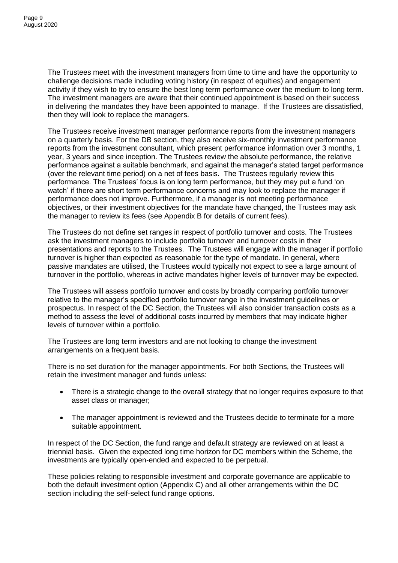The Trustees meet with the investment managers from time to time and have the opportunity to challenge decisions made including voting history (in respect of equities) and engagement activity if they wish to try to ensure the best long term performance over the medium to long term. The investment managers are aware that their continued appointment is based on their success in delivering the mandates they have been appointed to manage. If the Trustees are dissatisfied, then they will look to replace the managers.

The Trustees receive investment manager performance reports from the investment managers on a quarterly basis. For the DB section, they also receive six-monthly investment performance reports from the investment consultant, which present performance information over 3 months, 1 year, 3 years and since inception. The Trustees review the absolute performance, the relative performance against a suitable benchmark, and against the manager's stated target performance (over the relevant time period) on a net of fees basis. The Trustees regularly review this performance. The Trustees' focus is on long term performance, but they may put a fund 'on watch' if there are short term performance concerns and may look to replace the manager if performance does not improve. Furthermore, if a manager is not meeting performance objectives, or their investment objectives for the mandate have changed, the Trustees may ask the manager to review its fees (see Appendix B for details of current fees).

The Trustees do not define set ranges in respect of portfolio turnover and costs. The Trustees ask the investment managers to include portfolio turnover and turnover costs in their presentations and reports to the Trustees. The Trustees will engage with the manager if portfolio turnover is higher than expected as reasonable for the type of mandate. In general, where passive mandates are utilised, the Trustees would typically not expect to see a large amount of turnover in the portfolio, whereas in active mandates higher levels of turnover may be expected.

The Trustees will assess portfolio turnover and costs by broadly comparing portfolio turnover relative to the manager's specified portfolio turnover range in the investment guidelines or prospectus. In respect of the DC Section, the Trustees will also consider transaction costs as a method to assess the level of additional costs incurred by members that may indicate higher levels of turnover within a portfolio.

The Trustees are long term investors and are not looking to change the investment arrangements on a frequent basis.

There is no set duration for the manager appointments. For both Sections, the Trustees will retain the investment manager and funds unless:

- There is a strategic change to the overall strategy that no longer requires exposure to that asset class or manager;
- The manager appointment is reviewed and the Trustees decide to terminate for a more suitable appointment.

In respect of the DC Section, the fund range and default strategy are reviewed on at least a triennial basis. Given the expected long time horizon for DC members within the Scheme, the investments are typically open-ended and expected to be perpetual.

These policies relating to responsible investment and corporate governance are applicable to both the default investment option (Appendix C) and all other arrangements within the DC section including the self-select fund range options.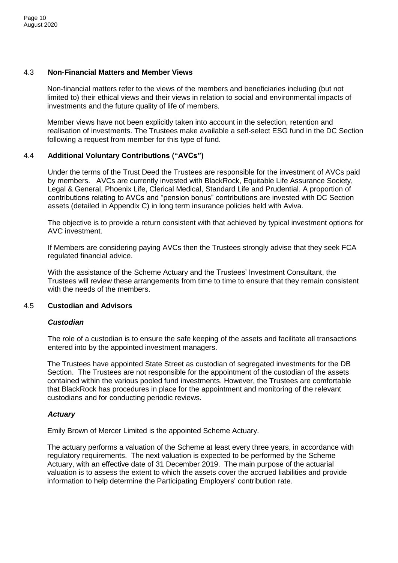# 4.3 **Non-Financial Matters and Member Views**

Non-financial matters refer to the views of the members and beneficiaries including (but not limited to) their ethical views and their views in relation to social and environmental impacts of investments and the future quality of life of members.

Member views have not been explicitly taken into account in the selection, retention and realisation of investments. The Trustees make available a self-select ESG fund in the DC Section following a request from member for this type of fund.

# 4.4 **Additional Voluntary Contributions ("AVCs")**

Under the terms of the Trust Deed the Trustees are responsible for the investment of AVCs paid by members. AVCs are currently invested with BlackRock, Equitable Life Assurance Society, Legal & General, Phoenix Life, Clerical Medical, Standard Life and Prudential. A proportion of contributions relating to AVCs and "pension bonus" contributions are invested with DC Section assets (detailed in Appendix C) in long term insurance policies held with Aviva.

The objective is to provide a return consistent with that achieved by typical investment options for AVC investment.

If Members are considering paying AVCs then the Trustees strongly advise that they seek FCA regulated financial advice.

With the assistance of the Scheme Actuary and the Trustees' Investment Consultant, the Trustees will review these arrangements from time to time to ensure that they remain consistent with the needs of the members.

#### 4.5 **Custodian and Advisors**

# *Custodian*

The role of a custodian is to ensure the safe keeping of the assets and facilitate all transactions entered into by the appointed investment managers.

The Trustees have appointed State Street as custodian of segregated investments for the DB Section. The Trustees are not responsible for the appointment of the custodian of the assets contained within the various pooled fund investments. However, the Trustees are comfortable that BlackRock has procedures in place for the appointment and monitoring of the relevant custodians and for conducting periodic reviews.

# *Actuary*

Emily Brown of Mercer Limited is the appointed Scheme Actuary.

The actuary performs a valuation of the Scheme at least every three years, in accordance with regulatory requirements. The next valuation is expected to be performed by the Scheme Actuary, with an effective date of 31 December 2019. The main purpose of the actuarial valuation is to assess the extent to which the assets cover the accrued liabilities and provide information to help determine the Participating Employers' contribution rate.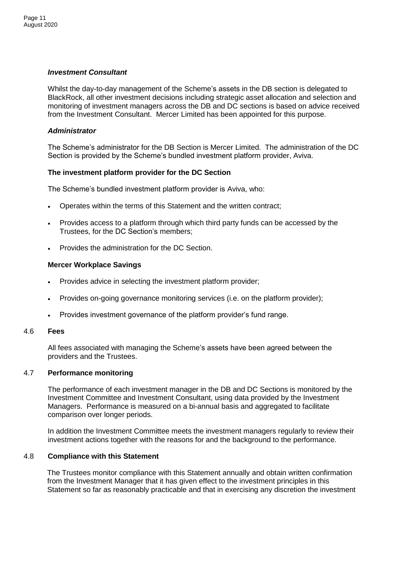# *Investment Consultant*

Whilst the day-to-day management of the Scheme's assets in the DB section is delegated to BlackRock, all other investment decisions including strategic asset allocation and selection and monitoring of investment managers across the DB and DC sections is based on advice received from the Investment Consultant. Mercer Limited has been appointed for this purpose.

# *Administrator*

The Scheme's administrator for the DB Section is Mercer Limited. The administration of the DC Section is provided by the Scheme's bundled investment platform provider, Aviva.

# **The investment platform provider for the DC Section**

The Scheme's bundled investment platform provider is Aviva, who:

- Operates within the terms of this Statement and the written contract;
- Provides access to a platform through which third party funds can be accessed by the Trustees, for the DC Section's members;
- Provides the administration for the DC Section.

# **Mercer Workplace Savings**

- Provides advice in selecting the investment platform provider;
- Provides on-going governance monitoring services (i.e. on the platform provider);
- Provides investment governance of the platform provider's fund range.

#### 4.6 **Fees**

All fees associated with managing the Scheme's assets have been agreed between the providers and the Trustees.

# 4.7 **Performance monitoring**

The performance of each investment manager in the DB and DC Sections is monitored by the Investment Committee and Investment Consultant, using data provided by the Investment Managers. Performance is measured on a bi-annual basis and aggregated to facilitate comparison over longer periods.

In addition the Investment Committee meets the investment managers regularly to review their investment actions together with the reasons for and the background to the performance.

# 4.8 **Compliance with this Statement**

The Trustees monitor compliance with this Statement annually and obtain written confirmation from the Investment Manager that it has given effect to the investment principles in this Statement so far as reasonably practicable and that in exercising any discretion the investment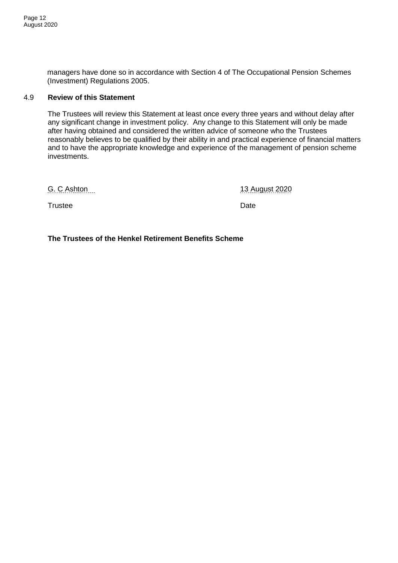managers have done so in accordance with Section 4 of The Occupational Pension Schemes (Investment) Regulations 2005.

# 4.9 **Review of this Statement**

The Trustees will review this Statement at least once every three years and without delay after any significant change in investment policy. Any change to this Statement will only be made after having obtained and considered the written advice of someone who the Trustees reasonably believes to be qualified by their ability in and practical experience of financial matters and to have the appropriate knowledge and experience of the management of pension scheme investments.

G. C Ashton 13 August 2020

Trustee Date

**The Trustees of the Henkel Retirement Benefits Scheme**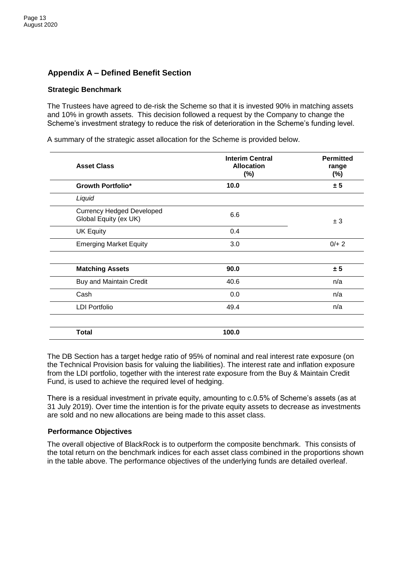# **Appendix A – Defined Benefit Section**

# **Strategic Benchmark**

The Trustees have agreed to de-risk the Scheme so that it is invested 90% in matching assets and 10% in growth assets. This decision followed a request by the Company to change the Scheme's investment strategy to reduce the risk of deterioration in the Scheme's funding level.

A summary of the strategic asset allocation for the Scheme is provided below.

| <b>Asset Class</b>                                        | <b>Interim Central</b><br><b>Allocation</b><br>$(\%)$ | <b>Permitted</b><br>range<br>$(\%)$ |
|-----------------------------------------------------------|-------------------------------------------------------|-------------------------------------|
| <b>Growth Portfolio*</b>                                  | 10.0                                                  | ± 5                                 |
| Liquid                                                    |                                                       |                                     |
| <b>Currency Hedged Developed</b><br>Global Equity (ex UK) | 6.6                                                   | ± 3                                 |
| <b>UK Equity</b>                                          | 0.4                                                   |                                     |
| <b>Emerging Market Equity</b>                             | 3.0                                                   | $0/+ 2$                             |
| <b>Matching Assets</b>                                    | 90.0                                                  | ± 5                                 |
| <b>Buy and Maintain Credit</b>                            | 40.6                                                  | n/a                                 |
| Cash                                                      | 0.0                                                   | n/a                                 |
| <b>LDI Portfolio</b>                                      | 49.4                                                  | n/a                                 |
| <b>Total</b>                                              | 100.0                                                 |                                     |

The DB Section has a target hedge ratio of 95% of nominal and real interest rate exposure (on the Technical Provision basis for valuing the liabilities). The interest rate and inflation exposure from the LDI portfolio, together with the interest rate exposure from the Buy & Maintain Credit Fund, is used to achieve the required level of hedging.

There is a residual investment in private equity, amounting to c.0.5% of Scheme's assets (as at 31 July 2019). Over time the intention is for the private equity assets to decrease as investments are sold and no new allocations are being made to this asset class.

#### **Performance Objectives**

The overall objective of BlackRock is to outperform the composite benchmark. This consists of the total return on the benchmark indices for each asset class combined in the proportions shown in the table above. The performance objectives of the underlying funds are detailed overleaf.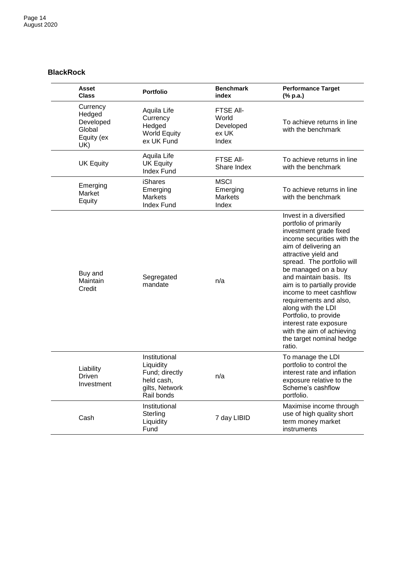# **BlackRock**

| Asset<br><b>Class</b>                                          | <b>Portfolio</b>                                                                           | <b>Benchmark</b><br>index                                | <b>Performance Target</b><br>(% p.a.)                                                                                                                                                                                                                                                                                                                                                                                                                                     |
|----------------------------------------------------------------|--------------------------------------------------------------------------------------------|----------------------------------------------------------|---------------------------------------------------------------------------------------------------------------------------------------------------------------------------------------------------------------------------------------------------------------------------------------------------------------------------------------------------------------------------------------------------------------------------------------------------------------------------|
| Currency<br>Hedged<br>Developed<br>Global<br>Equity (ex<br>UK) | Aquila Life<br>Currency<br>Hedged<br><b>World Equity</b><br>ex UK Fund                     | <b>FTSE AII-</b><br>World<br>Developed<br>ex UK<br>Index | To achieve returns in line<br>with the benchmark                                                                                                                                                                                                                                                                                                                                                                                                                          |
| <b>UK Equity</b>                                               | Aquila Life<br><b>UK Equity</b><br><b>Index Fund</b>                                       | FTSE All-<br>Share Index                                 | To achieve returns in line<br>with the benchmark                                                                                                                                                                                                                                                                                                                                                                                                                          |
| Emerging<br>Market<br>Equity                                   | <b>iShares</b><br>Emerging<br><b>Markets</b><br><b>Index Fund</b>                          | <b>MSCI</b><br>Emerging<br><b>Markets</b><br>Index       | To achieve returns in line<br>with the benchmark                                                                                                                                                                                                                                                                                                                                                                                                                          |
| Buy and<br>Maintain<br>Credit                                  | Segregated<br>mandate                                                                      | n/a                                                      | Invest in a diversified<br>portfolio of primarily<br>investment grade fixed<br>income securities with the<br>aim of delivering an<br>attractive yield and<br>spread. The portfolio will<br>be managed on a buy<br>and maintain basis. Its<br>aim is to partially provide<br>income to meet cashflow<br>requirements and also,<br>along with the LDI<br>Portfolio, to provide<br>interest rate exposure<br>with the aim of achieving<br>the target nominal hedge<br>ratio. |
| Liability<br>Driven<br>Investment                              | Institutional<br>Liquidity<br>Fund; directly<br>held cash,<br>gilts, Network<br>Rail bonds | n/a                                                      | To manage the LDI<br>portfolio to control the<br>interest rate and inflation<br>exposure relative to the<br>Scheme's cashflow<br>portfolio.                                                                                                                                                                                                                                                                                                                               |
| Cash                                                           | Institutional<br>Sterling<br>Liquidity<br>Fund                                             | 7 day LIBID                                              | Maximise income through<br>use of high quality short<br>term money market<br>instruments                                                                                                                                                                                                                                                                                                                                                                                  |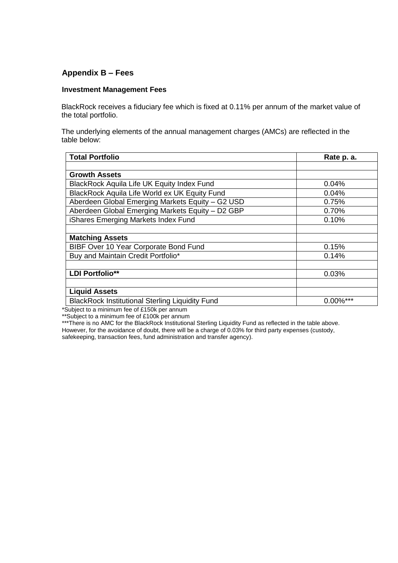# **Appendix B – Fees**

# **Investment Management Fees**

BlackRock receives a fiduciary fee which is fixed at 0.11% per annum of the market value of the total portfolio.

The underlying elements of the annual management charges (AMCs) are reflected in the table below:

| <b>Total Portfolio</b>                                 | Rate p. a.  |
|--------------------------------------------------------|-------------|
|                                                        |             |
| <b>Growth Assets</b>                                   |             |
| <b>BlackRock Aquila Life UK Equity Index Fund</b>      | 0.04%       |
| BlackRock Aquila Life World ex UK Equity Fund          | 0.04%       |
| Aberdeen Global Emerging Markets Equity - G2 USD       | 0.75%       |
| Aberdeen Global Emerging Markets Equity - D2 GBP       | 0.70%       |
| iShares Emerging Markets Index Fund                    | 0.10%       |
|                                                        |             |
| <b>Matching Assets</b>                                 |             |
| BIBF Over 10 Year Corporate Bond Fund                  | 0.15%       |
| Buy and Maintain Credit Portfolio*                     | 0.14%       |
|                                                        |             |
| <b>LDI Portfolio**</b>                                 | 0.03%       |
|                                                        |             |
| <b>Liquid Assets</b>                                   |             |
| <b>BlackRock Institutional Sterling Liquidity Fund</b> | $0.00\%***$ |

\*Subject to a minimum fee of £150k per annum

\*\*Subject to a minimum fee of £100k per annum

\*\*\*There is no AMC for the BlackRock Institutional Sterling Liquidity Fund as reflected in the table above.

However, for the avoidance of doubt, there will be a charge of 0.03% for third party expenses (custody, safekeeping, transaction fees, fund administration and transfer agency).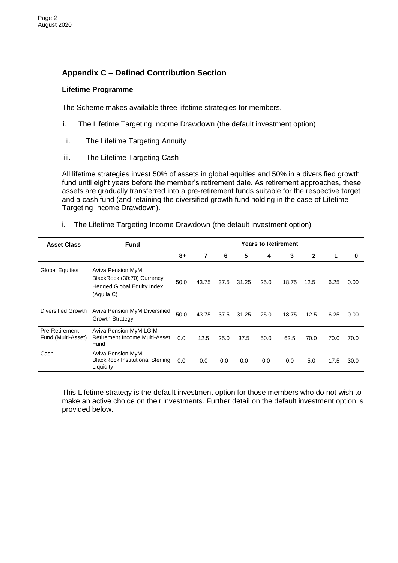# **Appendix C – Defined Contribution Section**

# **Lifetime Programme**

The Scheme makes available three lifetime strategies for members.

- i. The Lifetime Targeting Income Drawdown (the default investment option)
- ii. The Lifetime Targeting Annuity
- iii. The Lifetime Targeting Cash

All lifetime strategies invest 50% of assets in global equities and 50% in a diversified growth fund until eight years before the member's retirement date. As retirement approaches, these assets are gradually transferred into a pre-retirement funds suitable for the respective target and a cash fund (and retaining the diversified growth fund holding in the case of Lifetime Targeting Income Drawdown).

i. The Lifetime Targeting Income Drawdown (the default investment option)

| <b>Asset Class</b>                   | <b>Fund</b>                                                                                        | <b>Years to Retirement</b> |       |      |       |      |       |              |      |          |
|--------------------------------------|----------------------------------------------------------------------------------------------------|----------------------------|-------|------|-------|------|-------|--------------|------|----------|
|                                      |                                                                                                    | 8+                         | 7     | 6    | 5     | 4    | 3     | $\mathbf{2}$ | 1    | $\bf{0}$ |
| <b>Global Equities</b>               | Aviva Pension MyM<br>BlackRock (30:70) Currency<br><b>Hedged Global Equity Index</b><br>(Aquila C) | 50.0                       | 43.75 | 37.5 | 31.25 | 25.0 | 18.75 | 12.5         | 6.25 | 0.00     |
| Diversified Growth                   | Aviva Pension MyM Diversified<br><b>Growth Strategy</b>                                            | 50.0                       | 43.75 | 37.5 | 31.25 | 25.0 | 18.75 | 12.5         | 6.25 | 0.00     |
| Pre-Retirement<br>Fund (Multi-Asset) | Aviva Pension MyM LGIM<br>Retirement Income Multi-Asset<br>Fund                                    | 0.0                        | 12.5  | 25.0 | 37.5  | 50.0 | 62.5  | 70.0         | 70.0 | 70.0     |
| Cash                                 | Aviva Pension MyM<br><b>BlackRock Institutional Sterling</b><br>Liquidity                          | 0.0                        | 0.0   | 0.0  | 0.0   | 0.0  | 0.0   | 5.0          | 17.5 | 30.0     |

This Lifetime strategy is the default investment option for those members who do not wish to make an active choice on their investments. Further detail on the default investment option is provided below.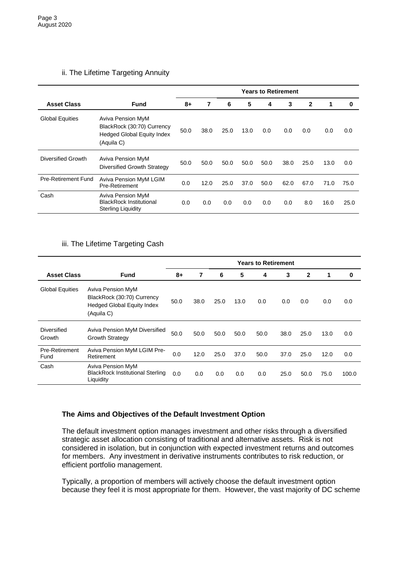# ii. The Lifetime Targeting Annuity

|                            |                                                                                                    | <b>Years to Retirement</b> |      |      |      |      |      |              |      |      |
|----------------------------|----------------------------------------------------------------------------------------------------|----------------------------|------|------|------|------|------|--------------|------|------|
| <b>Asset Class</b>         | <b>Fund</b>                                                                                        | 8+                         | 7    | 6    | 5    | 4    | 3    | $\mathbf{2}$ | 1    | 0    |
| <b>Global Equities</b>     | Aviva Pension MyM<br>BlackRock (30:70) Currency<br><b>Hedged Global Equity Index</b><br>(Aquila C) | 50.0                       | 38.0 | 25.0 | 13.0 | 0.0  | 0.0  | 0.0          | 0.0  | 0.0  |
| Diversified Growth         | Aviva Pension MyM<br>Diversified Growth Strategy                                                   | 50.0                       | 50.0 | 50.0 | 50.0 | 50.0 | 38.0 | 25.0         | 13.0 | 0.0  |
| <b>Pre-Retirement Fund</b> | Aviva Pension MyM LGIM<br>Pre-Retirement                                                           | 0.0                        | 12.0 | 25.0 | 37.0 | 50.0 | 62.0 | 67.0         | 71.0 | 75.0 |
| Cash                       | Aviva Pension MyM<br><b>BlackRock Institutional</b><br><b>Sterling Liquidity</b>                   | 0.0                        | 0.0  | 0.0  | 0.0  | 0.0  | 0.0  | 8.0          | 16.0 | 25.0 |

# iii. The Lifetime Targeting Cash

|                        |                                                                                             | <b>Years to Retirement</b> |      |      |      |      |      |              |      |       |
|------------------------|---------------------------------------------------------------------------------------------|----------------------------|------|------|------|------|------|--------------|------|-------|
| <b>Asset Class</b>     | <b>Fund</b>                                                                                 | 8+                         | 7    | 6    | 5    | 4    | 3    | $\mathbf{2}$ | 1    | 0     |
| <b>Global Equities</b> | Aviva Pension MyM<br>BlackRock (30:70) Currency<br>Hedged Global Equity Index<br>(Aquila C) | 50.0                       | 38.0 | 25.0 | 13.0 | 0.0  | 0.0  | 0.0          | 0.0  | 0.0   |
| Diversified<br>Growth  | Aviva Pension MyM Diversified<br><b>Growth Strategy</b>                                     | 50.0                       | 50.0 | 50.0 | 50.0 | 50.0 | 38.0 | 25.0         | 13.0 | 0.0   |
| Pre-Retirement<br>Fund | <b>Aviva Pension MyM LGIM Pre-</b><br>Retirement                                            | 0.0                        | 12.0 | 25.0 | 37.0 | 50.0 | 37.0 | 25.0         | 12.0 | 0.0   |
| Cash                   | Aviva Pension MyM<br><b>BlackRock Institutional Sterling</b><br>Liquidity                   | 0.0                        | 0.0  | 0.0  | 0.0  | 0.0  | 25.0 | 50.0         | 75.0 | 100.0 |

# **The Aims and Objectives of the Default Investment Option**

The default investment option manages investment and other risks through a diversified strategic asset allocation consisting of traditional and alternative assets. Risk is not considered in isolation, but in conjunction with expected investment returns and outcomes for members. Any investment in derivative instruments contributes to risk reduction, or efficient portfolio management.

Typically, a proportion of members will actively choose the default investment option because they feel it is most appropriate for them. However, the vast majority of DC scheme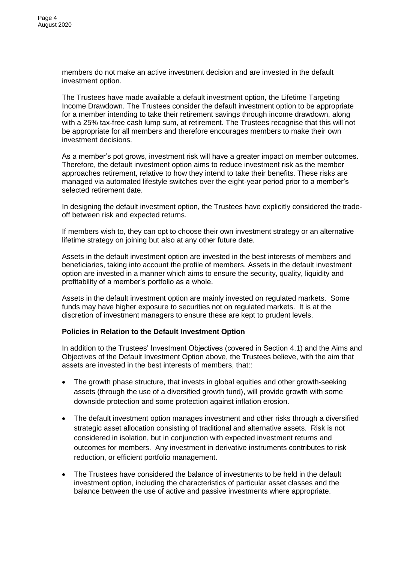members do not make an active investment decision and are invested in the default investment option.

The Trustees have made available a default investment option, the Lifetime Targeting Income Drawdown. The Trustees consider the default investment option to be appropriate for a member intending to take their retirement savings through income drawdown, along with a 25% tax-free cash lump sum, at retirement. The Trustees recognise that this will not be appropriate for all members and therefore encourages members to make their own investment decisions.

As a member's pot grows, investment risk will have a greater impact on member outcomes. Therefore, the default investment option aims to reduce investment risk as the member approaches retirement, relative to how they intend to take their benefits. These risks are managed via automated lifestyle switches over the eight-year period prior to a member's selected retirement date.

In designing the default investment option, the Trustees have explicitly considered the tradeoff between risk and expected returns.

If members wish to, they can opt to choose their own investment strategy or an alternative lifetime strategy on joining but also at any other future date.

Assets in the default investment option are invested in the best interests of members and beneficiaries, taking into account the profile of members. Assets in the default investment option are invested in a manner which aims to ensure the security, quality, liquidity and profitability of a member's portfolio as a whole.

Assets in the default investment option are mainly invested on regulated markets. Some funds may have higher exposure to securities not on regulated markets. It is at the discretion of investment managers to ensure these are kept to prudent levels.

# **Policies in Relation to the Default Investment Option**

In addition to the Trustees' Investment Objectives (covered in Section 4.1) and the Aims and Objectives of the Default Investment Option above, the Trustees believe, with the aim that assets are invested in the best interests of members, that::

- The growth phase structure, that invests in global equities and other growth-seeking assets (through the use of a diversified growth fund), will provide growth with some downside protection and some protection against inflation erosion.
- The default investment option manages investment and other risks through a diversified strategic asset allocation consisting of traditional and alternative assets. Risk is not considered in isolation, but in conjunction with expected investment returns and outcomes for members. Any investment in derivative instruments contributes to risk reduction, or efficient portfolio management.
- The Trustees have considered the balance of investments to be held in the default investment option, including the characteristics of particular asset classes and the balance between the use of active and passive investments where appropriate.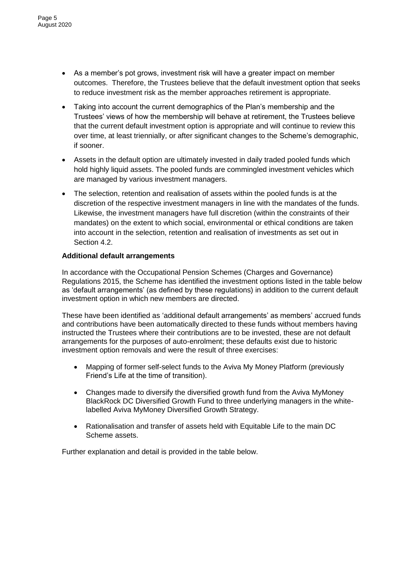- As a member's pot grows, investment risk will have a greater impact on member outcomes. Therefore, the Trustees believe that the default investment option that seeks to reduce investment risk as the member approaches retirement is appropriate.
- Taking into account the current demographics of the Plan's membership and the Trustees' views of how the membership will behave at retirement, the Trustees believe that the current default investment option is appropriate and will continue to review this over time, at least triennially, or after significant changes to the Scheme's demographic, if sooner.
- Assets in the default option are ultimately invested in daily traded pooled funds which hold highly liquid assets. The pooled funds are commingled investment vehicles which are managed by various investment managers.
- The selection, retention and realisation of assets within the pooled funds is at the discretion of the respective investment managers in line with the mandates of the funds. Likewise, the investment managers have full discretion (within the constraints of their mandates) on the extent to which social, environmental or ethical conditions are taken into account in the selection, retention and realisation of investments as set out in Section 4.2.

# **Additional default arrangements**

In accordance with the Occupational Pension Schemes (Charges and Governance) Regulations 2015, the Scheme has identified the investment options listed in the table below as 'default arrangements' (as defined by these regulations) in addition to the current default investment option in which new members are directed.

These have been identified as 'additional default arrangements' as members' accrued funds and contributions have been automatically directed to these funds without members having instructed the Trustees where their contributions are to be invested, these are not default arrangements for the purposes of auto-enrolment; these defaults exist due to historic investment option removals and were the result of three exercises:

- Mapping of former self-select funds to the Aviva My Money Platform (previously Friend's Life at the time of transition).
- Changes made to diversify the diversified growth fund from the Aviva MyMoney BlackRock DC Diversified Growth Fund to three underlying managers in the whitelabelled Aviva MyMoney Diversified Growth Strategy.
- Rationalisation and transfer of assets held with Equitable Life to the main DC Scheme assets.

Further explanation and detail is provided in the table below.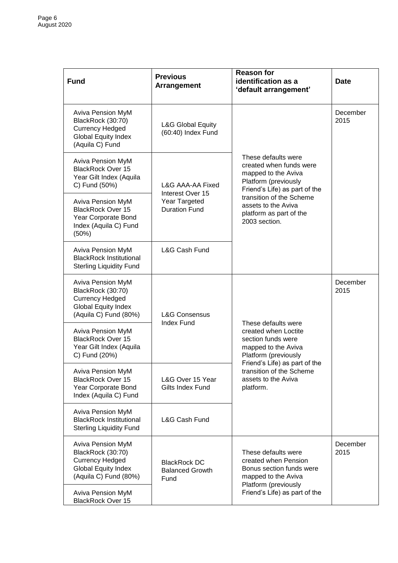| <b>Fund</b>                                                                                                             | <b>Previous</b><br><b>Arrangement</b>                     | <b>Reason for</b><br>identification as a<br>'default arrangement'                                                              | <b>Date</b>      |
|-------------------------------------------------------------------------------------------------------------------------|-----------------------------------------------------------|--------------------------------------------------------------------------------------------------------------------------------|------------------|
| Aviva Pension MyM<br>BlackRock (30:70)<br><b>Currency Hedged</b><br><b>Global Equity Index</b><br>(Aquila C) Fund       | <b>L&amp;G Global Equity</b><br>(60:40) Index Fund        |                                                                                                                                | December<br>2015 |
| Aviva Pension MyM<br><b>BlackRock Over 15</b><br>Year Gilt Index (Aquila<br>C) Fund (50%)                               | L&G AAA-AA Fixed                                          | These defaults were<br>created when funds were<br>mapped to the Aviva<br>Platform (previously<br>Friend's Life) as part of the |                  |
| Aviva Pension MyM<br><b>BlackRock Over 15</b><br>Year Corporate Bond<br>Index (Aquila C) Fund<br>(50%)                  | Interest Over 15<br>Year Targeted<br><b>Duration Fund</b> | transition of the Scheme<br>assets to the Aviva<br>platform as part of the<br>2003 section.                                    |                  |
| Aviva Pension MyM<br><b>BlackRock Institutional</b><br><b>Sterling Liquidity Fund</b>                                   | L&G Cash Fund                                             |                                                                                                                                |                  |
| Aviva Pension MyM<br>BlackRock (30:70)<br><b>Currency Hedged</b><br><b>Global Equity Index</b><br>(Aquila C) Fund (80%) | <b>L&amp;G Consensus</b>                                  |                                                                                                                                | December<br>2015 |
| Aviva Pension MyM<br><b>BlackRock Over 15</b><br>Year Gilt Index (Aquila<br>C) Fund (20%)                               | <b>Index Fund</b>                                         | These defaults were<br>created when Loctite<br>section funds were<br>mapped to the Aviva<br>Platform (previously               |                  |
| Aviva Pension MyM<br><b>BlackRock Over 15</b><br>Year Corporate Bond<br>Index (Aquila C) Fund                           | L&G Over 15 Year<br>Gilts Index Fund                      | Friend's Life) as part of the<br>transition of the Scheme<br>assets to the Aviva<br>platform.                                  |                  |
| Aviva Pension MyM<br><b>BlackRock Institutional</b><br><b>Sterling Liquidity Fund</b>                                   | <b>L&amp;G Cash Fund</b>                                  |                                                                                                                                |                  |
| Aviva Pension MyM<br>BlackRock (30:70)<br><b>Currency Hedged</b><br>Global Equity Index<br>(Aquila C) Fund (80%)        | <b>BlackRock DC</b><br><b>Balanced Growth</b><br>Fund     | These defaults were<br>created when Pension<br>Bonus section funds were<br>mapped to the Aviva<br>Platform (previously         | December<br>2015 |
| Aviva Pension MyM<br><b>BlackRock Over 15</b>                                                                           |                                                           | Friend's Life) as part of the                                                                                                  |                  |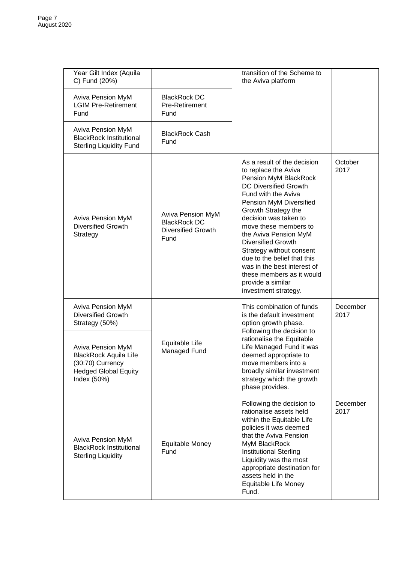| Year Gilt Index (Aquila<br>C) Fund (20%)                                                                            |                                                                               | transition of the Scheme to<br>the Aviva platform                                                                                                                                                                                                                                                                                                                                                                                                          |                  |
|---------------------------------------------------------------------------------------------------------------------|-------------------------------------------------------------------------------|------------------------------------------------------------------------------------------------------------------------------------------------------------------------------------------------------------------------------------------------------------------------------------------------------------------------------------------------------------------------------------------------------------------------------------------------------------|------------------|
| Aviva Pension MyM<br><b>LGIM Pre-Retirement</b><br>Fund                                                             | <b>BlackRock DC</b><br>Pre-Retirement<br>Fund                                 |                                                                                                                                                                                                                                                                                                                                                                                                                                                            |                  |
| <b>Aviva Pension MyM</b><br><b>BlackRock Institutional</b><br><b>Sterling Liquidity Fund</b>                        | <b>BlackRock Cash</b><br>Fund                                                 |                                                                                                                                                                                                                                                                                                                                                                                                                                                            |                  |
| <b>Aviva Pension MyM</b><br><b>Diversified Growth</b><br>Strategy                                                   | Aviva Pension MyM<br><b>BlackRock DC</b><br><b>Diversified Growth</b><br>Fund | As a result of the decision<br>to replace the Aviva<br>Pension MyM BlackRock<br>DC Diversified Growth<br>Fund with the Aviva<br>Pension MyM Diversified<br>Growth Strategy the<br>decision was taken to<br>move these members to<br>the Aviva Pension MyM<br><b>Diversified Growth</b><br>Strategy without consent<br>due to the belief that this<br>was in the best interest of<br>these members as it would<br>provide a similar<br>investment strategy. | October<br>2017  |
| <b>Aviva Pension MyM</b><br><b>Diversified Growth</b><br>Strategy (50%)                                             |                                                                               | This combination of funds<br>is the default investment<br>option growth phase.<br>Following the decision to                                                                                                                                                                                                                                                                                                                                                | December<br>2017 |
| Aviva Pension MyM<br><b>BlackRock Aquila Life</b><br>(30:70) Currency<br><b>Hedged Global Equity</b><br>Index (50%) | Equitable Life<br>Managed Fund                                                | rationalise the Equitable<br>Life Managed Fund it was<br>deemed appropriate to<br>move members into a<br>broadly similar investment<br>strategy which the growth<br>phase provides.                                                                                                                                                                                                                                                                        |                  |
| Aviva Pension MyM<br><b>BlackRock Institutional</b><br><b>Sterling Liquidity</b>                                    | <b>Equitable Money</b><br>Fund                                                | Following the decision to<br>rationalise assets held<br>within the Equitable Life<br>policies it was deemed<br>that the Aviva Pension<br>MyM BlackRock<br><b>Institutional Sterling</b><br>Liquidity was the most<br>appropriate destination for<br>assets held in the<br>Equitable Life Money<br>Fund.                                                                                                                                                    | December<br>2017 |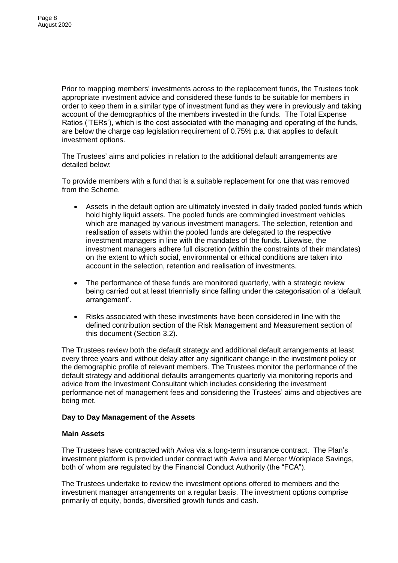Prior to mapping members' investments across to the replacement funds, the Trustees took appropriate investment advice and considered these funds to be suitable for members in order to keep them in a similar type of investment fund as they were in previously and taking account of the demographics of the members invested in the funds. The Total Expense Ratios ('TERs'), which is the cost associated with the managing and operating of the funds, are below the charge cap legislation requirement of 0.75% p.a. that applies to default investment options.

The Trustees' aims and policies in relation to the additional default arrangements are detailed below:

To provide members with a fund that is a suitable replacement for one that was removed from the Scheme.

- Assets in the default option are ultimately invested in daily traded pooled funds which hold highly liquid assets. The pooled funds are commingled investment vehicles which are managed by various investment managers. The selection, retention and realisation of assets within the pooled funds are delegated to the respective investment managers in line with the mandates of the funds. Likewise, the investment managers adhere full discretion (within the constraints of their mandates) on the extent to which social, environmental or ethical conditions are taken into account in the selection, retention and realisation of investments.
- The performance of these funds are monitored quarterly, with a strategic review being carried out at least triennially since falling under the categorisation of a 'default arrangement'.
- Risks associated with these investments have been considered in line with the defined contribution section of the Risk Management and Measurement section of this document (Section 3.2).

The Trustees review both the default strategy and additional default arrangements at least every three years and without delay after any significant change in the investment policy or the demographic profile of relevant members. The Trustees monitor the performance of the default strategy and additional defaults arrangements quarterly via monitoring reports and advice from the Investment Consultant which includes considering the investment performance net of management fees and considering the Trustees' aims and objectives are being met.

# **Day to Day Management of the Assets**

# **Main Assets**

The Trustees have contracted with Aviva via a long-term insurance contract. The Plan's investment platform is provided under contract with Aviva and Mercer Workplace Savings, both of whom are regulated by the Financial Conduct Authority (the "FCA").

The Trustees undertake to review the investment options offered to members and the investment manager arrangements on a regular basis. The investment options comprise primarily of equity, bonds, diversified growth funds and cash.